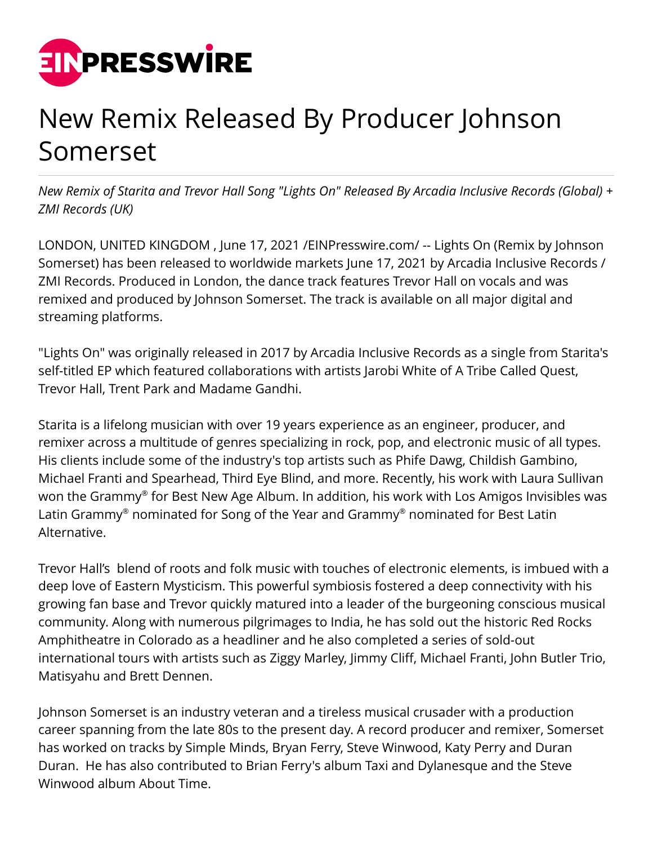

## New Remix Released By Producer Johnson Somerset

*New Remix of Starita and Trevor Hall Song "Lights On" Released By Arcadia Inclusive Records (Global) + ZMI Records (UK)*

LONDON, UNITED KINGDOM , June 17, 2021 /[EINPresswire.com/](http://www.einpresswire.com) -- Lights On (Remix by Johnson Somerset) has been released to worldwide markets June 17, 2021 by Arcadia Inclusive Records / ZMI Records. Produced in London, the dance track features Trevor Hall on vocals and was remixed and produced by Johnson Somerset. The track is available on all major digital and streaming platforms.

"Lights On" was originally released in 2017 by Arcadia Inclusive Records as a single from Starita's self-titled EP which featured collaborations with artists Jarobi White of A Tribe Called Quest, Trevor Hall, Trent Park and Madame Gandhi.

Starita is a lifelong musician with over 19 years experience as an engineer, producer, and remixer across a multitude of genres specializing in rock, pop, and electronic music of all types. His clients include some of the industry's top artists such as Phife Dawg, Childish Gambino, Michael Franti and Spearhead, Third Eye Blind, and more. Recently, his work with Laura Sullivan won the Grammy® for Best New Age Album. In addition, his work with Los Amigos Invisibles was Latin Grammy® nominated for Song of the Year and Grammy® nominated for Best Latin Alternative.

Trevor Hall's blend of roots and folk music with touches of electronic elements, is imbued with a deep love of Eastern Mysticism. This powerful symbiosis fostered a deep connectivity with his growing fan base and Trevor quickly matured into a leader of the burgeoning conscious musical community. Along with numerous pilgrimages to India, he has sold out the historic Red Rocks Amphitheatre in Colorado as a headliner and he also completed a series of sold-out international tours with artists such as Ziggy Marley, Jimmy Cliff, Michael Franti, John Butler Trio, Matisyahu and Brett Dennen.

Johnson Somerset is an industry veteran and a tireless musical crusader with a production career spanning from the late 80s to the present day. A record producer and remixer, Somerset has worked on tracks by Simple Minds, Bryan Ferry, Steve Winwood, Katy Perry and Duran Duran. He has also contributed to Brian Ferry's album Taxi and Dylanesque and the Steve Winwood album About Time.